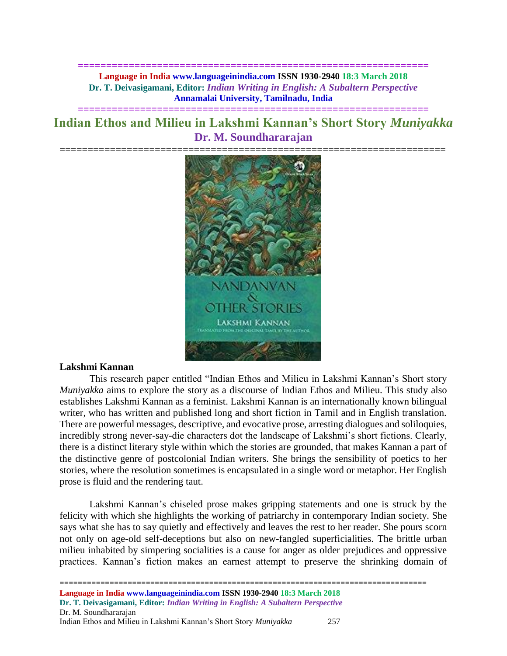**============================================================== Language in India www.languageinindia.com ISSN 1930-2940 18:3 March 2018 Dr. T. Deivasigamani, Editor:** *Indian Writing in English: A Subaltern Perspective* **Annamalai University, Tamilnadu, India**

# **Indian Ethos and Milieu in Lakshmi Kannan's Short Story** *Muniyakka* **Dr. M. Soundhararajan**

**==============================================================**



#### **Lakshmi Kannan**

This research paper entitled "Indian Ethos and Milieu in Lakshmi Kannan's Short story *Muniyakka* aims to explore the story as a discourse of Indian Ethos and Milieu. This study also establishes Lakshmi Kannan as a feminist. Lakshmi Kannan is an internationally known bilingual writer, who has written and published long and short fiction in Tamil and in English translation. There are powerful messages, descriptive, and evocative prose, arresting dialogues and soliloquies, incredibly strong never-say-die characters dot the landscape of Lakshmi's short fictions. Clearly, there is a distinct literary style within which the stories are grounded, that makes Kannan a part of the distinctive genre of postcolonial Indian writers. She brings the sensibility of poetics to her stories, where the resolution sometimes is encapsulated in a single word or metaphor. Her English prose is fluid and the rendering taut.

Lakshmi Kannan's chiseled prose makes gripping statements and one is struck by the felicity with which she highlights the working of patriarchy in contemporary Indian society. She says what she has to say quietly and effectively and leaves the rest to her reader. She pours scorn not only on age-old self-deceptions but also on new-fangled superficialities. The brittle urban milieu inhabited by simpering socialities is a cause for anger as older prejudices and oppressive practices. Kannan's fiction makes an earnest attempt to preserve the shrinking domain of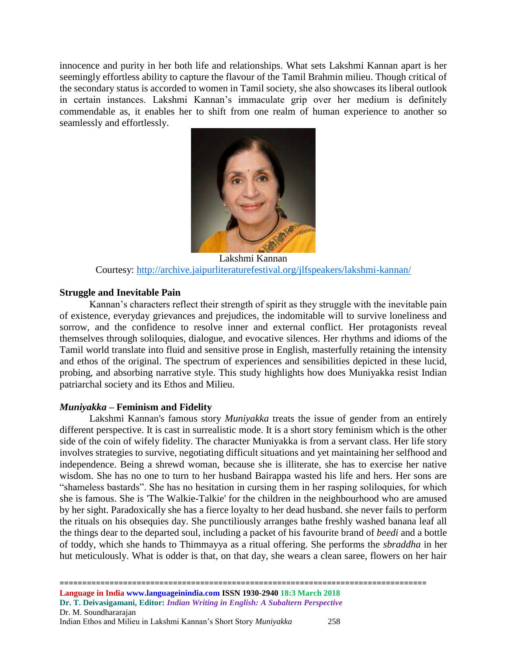innocence and purity in her both life and relationships. What sets Lakshmi Kannan apart is her seemingly effortless ability to capture the flavour of the Tamil Brahmin milieu. Though critical of the secondary status is accorded to women in Tamil society, she also showcases its liberal outlook in certain instances. Lakshmi Kannan's immaculate grip over her medium is definitely commendable as, it enables her to shift from one realm of human experience to another so seamlessly and effortlessly.



Lakshmi Kannan Courtesy:<http://archive.jaipurliteraturefestival.org/jlfspeakers/lakshmi-kannan/>

### **Struggle and Inevitable Pain**

Kannan's characters reflect their strength of spirit as they struggle with the inevitable pain of existence, everyday grievances and prejudices, the indomitable will to survive loneliness and sorrow, and the confidence to resolve inner and external conflict. Her protagonists reveal themselves through soliloquies, dialogue, and evocative silences. Her rhythms and idioms of the Tamil world translate into fluid and sensitive prose in English, masterfully retaining the intensity and ethos of the original. The spectrum of experiences and sensibilities depicted in these lucid, probing, and absorbing narrative style. This study highlights how does Muniyakka resist Indian patriarchal society and its Ethos and Milieu.

## *Muniyakka –* **Feminism and Fidelity**

Lakshmi Kannan's famous story *Muniyakka* treats the issue of gender from an entirely different perspective. It is cast in surrealistic mode. It is a short story feminism which is the other side of the coin of wifely fidelity. The character Muniyakka is from a servant class. Her life story involves strategies to survive, negotiating difficult situations and yet maintaining her selfhood and independence. Being a shrewd woman, because she is illiterate, she has to exercise her native wisdom. She has no one to turn to her husband Bairappa wasted his life and hers. Her sons are "shameless bastards". She has no hesitation in cursing them in her rasping soliloquies, for which she is famous. She is 'The Walkie-Talkie' for the children in the neighbourhood who are amused by her sight. Paradoxically she has a fierce loyalty to her dead husband. she never fails to perform the rituals on his obsequies day. She punctiliously arranges bathe freshly washed banana leaf all the things dear to the departed soul, including a packet of his favourite brand of *beedi* and a bottle of toddy, which she hands to Thimmayya as a ritual offering. She performs the *sbraddha* in her hut meticulously. What is odder is that, on that day, she wears a clean saree, flowers on her hair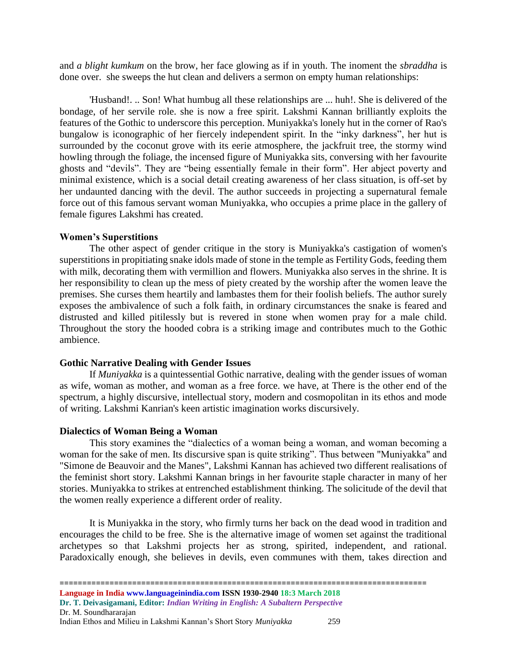and *a blight kumkum* on the brow, her face glowing as if in youth. The inoment the *sbraddha* is done over. she sweeps the hut clean and delivers a sermon on empty human relationships:

'Husband!. .. Son! What humbug all these relationships are ... huh!. She is delivered of the bondage, of her servile role. she is now a free spirit. Lakshmi Kannan brilliantly exploits the features of the Gothic to underscore this perception. Muniyakka's lonely hut in the corner of Rao's bungalow is iconographic of her fiercely independent spirit. In the "inky darkness", her hut is surrounded by the coconut grove with its eerie atmosphere, the jackfruit tree, the stormy wind howling through the foliage, the incensed figure of Muniyakka sits, conversing with her favourite ghosts and "devils". They are "being essentially female in their form". Her abject poverty and minimal existence, which is a social detail creating awareness of her class situation, is off-set by her undaunted dancing with the devil. The author succeeds in projecting a supernatural female force out of this famous servant woman Muniyakka, who occupies a prime place in the gallery of female figures Lakshmi has created.

#### **Women's Superstitions**

The other aspect of gender critique in the story is Muniyakka's castigation of women's superstitions in propitiating snake idols made of stone in the temple as Fertility Gods, feeding them with milk, decorating them with vermillion and flowers. Muniyakka also serves in the shrine. It is her responsibility to clean up the mess of piety created by the worship after the women leave the premises. She curses them heartily and lambastes them for their foolish beliefs. The author surely exposes the ambivalence of such a folk faith, in ordinary circumstances the snake is feared and distrusted and killed pitilessly but is revered in stone when women pray for a male child. Throughout the story the hooded cobra is a striking image and contributes much to the Gothic ambience.

#### **Gothic Narrative Dealing with Gender Issues**

If *Muniyakka* is a quintessential Gothic narrative, dealing with the gender issues of woman as wife, woman as mother, and woman as a free force. we have, at There is the other end of the spectrum, a highly discursive, intellectual story, modern and cosmopolitan in its ethos and mode of writing. Lakshmi Kanrian's keen artistic imagination works discursively.

#### **Dialectics of Woman Being a Woman**

This story examines the "dialectics of a woman being a woman, and woman becoming a woman for the sake of men. Its discursive span is quite striking". Thus between "Muniyakka" and "Simone de Beauvoir and the Manes", Lakshmi Kannan has achieved two different realisations of the feminist short story. Lakshmi Kannan brings in her favourite staple character in many of her stories. Muniyakka to strikes at entrenched establishment thinking. The solicitude of the devil that the women really experience a different order of reality.

It is Muniyakka in the story, who firmly turns her back on the dead wood in tradition and encourages the child to be free. She is the alternative image of women set against the traditional archetypes so that Lakshmi projects her as strong, spirited, independent, and rational. Paradoxically enough, she believes in devils, even communes with them, takes direction and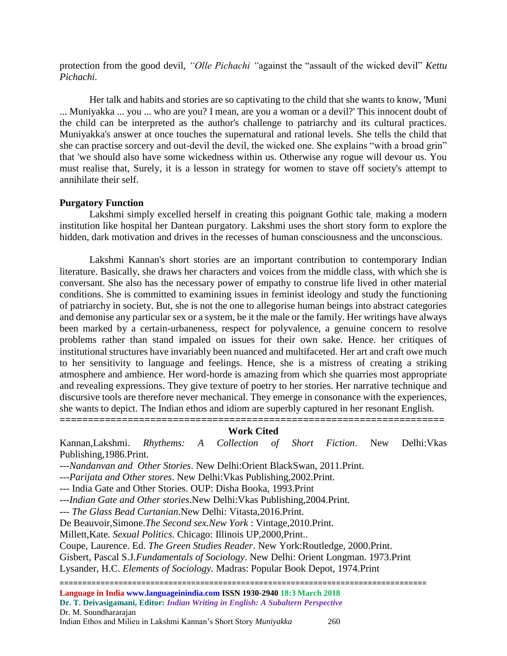protection from the good devil, *"Olle Pichachi "*against the "assault of the wicked devil" *Kettu Pichachi.*

Her talk and habits and stories are so captivating to the child that she wants to know, 'Muni ... Muniyakka ... you ... who are you? I mean, are you a woman or a devil?' This innocent doubt of the child can be interpreted as the author's challenge to patriarchy and its cultural practices. Muniyakka's answer at once touches the supernatural and rational levels. She tells the child that she can practise sorcery and out-devil the devil, the wicked one. She explains "with a broad grin" that 'we should also have some wickedness within us. Otherwise any rogue will devour us. You must realise that, Surely, it is a lesson in strategy for women to stave off society's attempt to annihilate their self.

### **Purgatory Function**

Lakshmi simply excelled herself in creating this poignant Gothic tale, making a modern institution like hospital her Dantean purgatory. Lakshmi uses the short story form to explore the hidden, dark motivation and drives in the recesses of human consciousness and the unconscious.

Lakshmi Kannan's short stories are an important contribution to contemporary Indian literature. Basically, she draws her characters and voices from the middle class, with which she is conversant. She also has the necessary power of empathy to construe life lived in other material conditions. She is committed to examining issues in feminist ideology and study the functioning of patriarchy in society. But, she is not the one to allegorise human beings into abstract categories and demonise any particular sex or a system, be it the male or the family. Her writings have always been marked by a certain-urbaneness, respect for polyvalence, a genuine concern to resolve problems rather than stand impaled on issues for their own sake. Hence. her critiques of institutional structures have invariably been nuanced and multifaceted. Her art and craft owe much to her sensitivity to language and feelings. Hence, she is a mistress of creating a striking atmosphere and ambience. Her word-horde is amazing from which she quarries most appropriate and revealing expressions. They give texture of poetry to her stories. Her narrative technique and discursive tools are therefore never mechanical. They emerge in consonance with the experiences, she wants to depict. The Indian ethos and idiom are superbly captured in her resonant English.

**====================================================================**

## **Work Cited**

Kannan,Lakshmi. *Rhythems: A Collection of Short Fiction*. New Delhi:Vkas Publishing,1986.Print.

---*Nandanvan and Other Stories*. New Delhi:Orient BlackSwan, 2011.Print.

---*Parijata and Other stores*. New Delhi:Vkas Publishing,2002.Print.

*---* India Gate and Other Stories. OUP: Disha Booka, 1993.Print

---*Indian Gate and Other stories*.New Delhi:Vkas Publishing,2004.Print.

--- *The Glass Bead Curtanian*.New Delhi: Vitasta,2016.Print.

De Beauvoir,Simone.*The Second sex.New York* : Vintage,2010.Print.

Millett,Kate*. Sexual Politics*. Chicago: Illinois UP,2000,Print..

Coupe, Laurence. Ed. *The Green Studies Reader*. New York:Routledge, 2000.Print.

Gisbert, Pascal S.J*.Fundamentals of Sociology*. New Delhi: Orient Longman. 1973.Print

Lysander*,* H.C. *Elements of Sociology.* Madras: Popular Book Depot, 1974.Print

=================================================================================

**Language in India www.languageinindia.com ISSN 1930-2940 18:3 March 2018 Dr. T. Deivasigamani, Editor:** *Indian Writing in English: A Subaltern Perspective* Dr. M. Soundhararajan Indian Ethos and Milieu in Lakshmi Kannan's Short Story *Muniyakka* 260